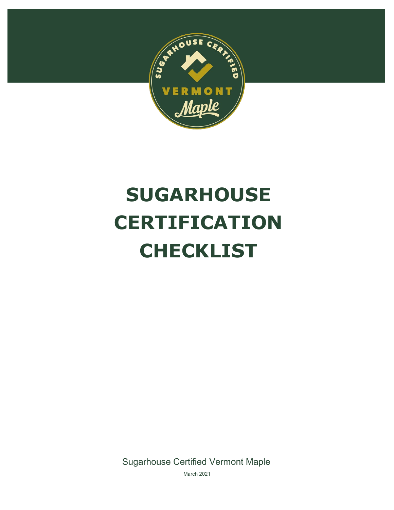

# **SUGARHOUSE CERTIFICATION CHECKLIST**

Sugarhouse Certified Vermont Maple

March 2021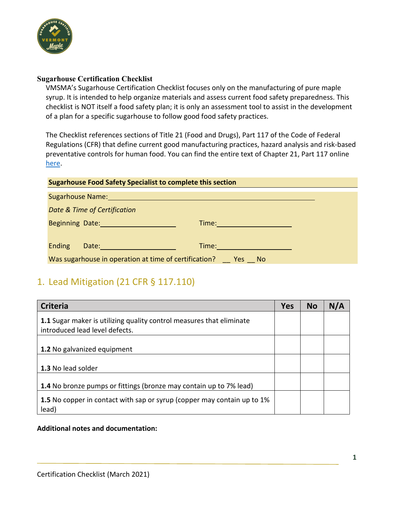

#### **Sugarhouse Certification Checklist**

VMSMA's Sugarhouse Certification Checklist focuses only on the manufacturing of pure maple syrup. It is intended to help organize materials and assess current food safety preparedness. This checklist is NOT itself a food safety plan; it is only an assessment tool to assist in the development of a plan for a specific sugarhouse to follow good food safety practices.

The Checklist references sections of Title 21 (Food and Drugs), Part 117 of the Code of Federal Regulations (CFR) that define current good manufacturing practices, hazard analysis and risk-based preventative controls for human food. You can find the entire text of Chapter 21, Part 117 online [here.](https://www.accessdata.fda.gov/scripts/cdrh/cfdocs/cfcfr/CFRSearch.cfm?CFRPart=117&showFR=1)

#### **Sugarhouse Food Safety Specialist to complete this section**

| Sugarhouse Name: |                                                       |       |        |  |  |
|------------------|-------------------------------------------------------|-------|--------|--|--|
|                  | Date & Time of Certification                          |       |        |  |  |
|                  | <b>Beginning Date: Beginning Date:</b>                | Time: |        |  |  |
|                  |                                                       |       |        |  |  |
| <b>Ending</b>    | Date:                                                 | Time: |        |  |  |
|                  | Was sugarhouse in operation at time of certification? |       | Yes No |  |  |

### 1. Lead Mitigation (21 CFR § 117.110)

| <b>Criteria</b>                                                                                        | <b>Yes</b> | <b>No</b> | N/A |
|--------------------------------------------------------------------------------------------------------|------------|-----------|-----|
| 1.1 Sugar maker is utilizing quality control measures that eliminate<br>introduced lead level defects. |            |           |     |
| 1.2 No galvanized equipment                                                                            |            |           |     |
| 1.3 No lead solder                                                                                     |            |           |     |
| <b>1.4</b> No bronze pumps or fittings (bronze may contain up to 7% lead)                              |            |           |     |
| 1.5 No copper in contact with sap or syrup (copper may contain up to 1%<br>lead)                       |            |           |     |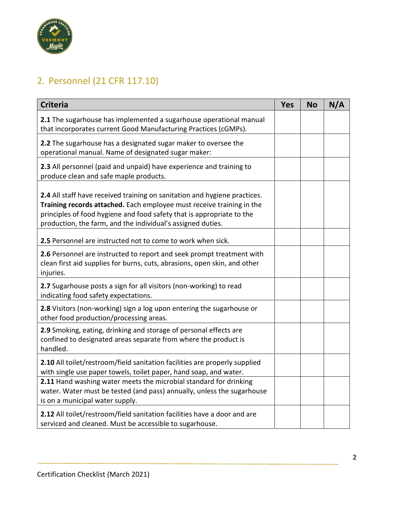

## 2. Personnel (21 CFR 117.10)

| <b>Criteria</b>                                                                                                                                                                                                                                                                            | <b>Yes</b> | <b>No</b> | N/A |
|--------------------------------------------------------------------------------------------------------------------------------------------------------------------------------------------------------------------------------------------------------------------------------------------|------------|-----------|-----|
| 2.1 The sugarhouse has implemented a sugarhouse operational manual<br>that incorporates current Good Manufacturing Practices (cGMPs).                                                                                                                                                      |            |           |     |
| 2.2 The sugarhouse has a designated sugar maker to oversee the<br>operational manual. Name of designated sugar maker:                                                                                                                                                                      |            |           |     |
| 2.3 All personnel (paid and unpaid) have experience and training to<br>produce clean and safe maple products.                                                                                                                                                                              |            |           |     |
| 2.4 All staff have received training on sanitation and hygiene practices.<br>Training records attached. Each employee must receive training in the<br>principles of food hygiene and food safety that is appropriate to the<br>production, the farm, and the individual's assigned duties. |            |           |     |
| 2.5 Personnel are instructed not to come to work when sick.                                                                                                                                                                                                                                |            |           |     |
| 2.6 Personnel are instructed to report and seek prompt treatment with<br>clean first aid supplies for burns, cuts, abrasions, open skin, and other<br>injuries.                                                                                                                            |            |           |     |
| 2.7 Sugarhouse posts a sign for all visitors (non-working) to read<br>indicating food safety expectations.                                                                                                                                                                                 |            |           |     |
| 2.8 Visitors (non-working) sign a log upon entering the sugarhouse or<br>other food production/processing areas.                                                                                                                                                                           |            |           |     |
| 2.9 Smoking, eating, drinking and storage of personal effects are<br>confined to designated areas separate from where the product is<br>handled.                                                                                                                                           |            |           |     |
| 2.10 All toilet/restroom/field sanitation facilities are properly supplied<br>with single use paper towels, toilet paper, hand soap, and water.                                                                                                                                            |            |           |     |
| 2.11 Hand washing water meets the microbial standard for drinking<br>water. Water must be tested (and pass) annually, unless the sugarhouse<br>is on a municipal water supply.                                                                                                             |            |           |     |
| 2.12 All toilet/restroom/field sanitation facilities have a door and are<br>serviced and cleaned. Must be accessible to sugarhouse.                                                                                                                                                        |            |           |     |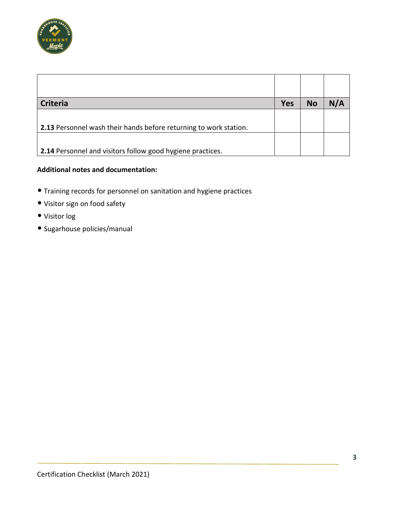

| <b>Criteria</b>                                                   | <b>Yes</b> | <b>No</b> | N/A |
|-------------------------------------------------------------------|------------|-----------|-----|
|                                                                   |            |           |     |
| 2.13 Personnel wash their hands before returning to work station. |            |           |     |
|                                                                   |            |           |     |
| 2.14 Personnel and visitors follow good hygiene practices.        |            |           |     |

- Training records for personnel on sanitation and hygiene practices
- Visitor sign on food safety
- Visitor log
- Sugarhouse policies/manual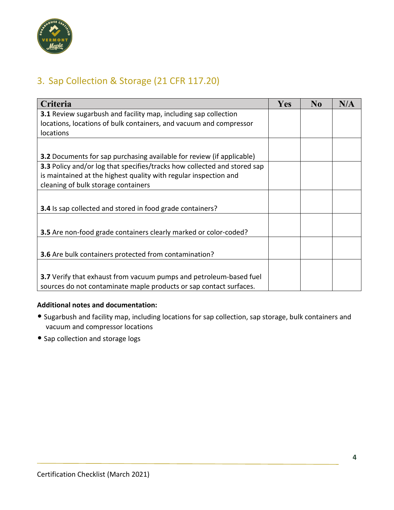

## 3. Sap Collection & Storage (21 CFR 117.20)

| Criteria                                                                     | Yes | $\bf No$ | N/A |
|------------------------------------------------------------------------------|-----|----------|-----|
| <b>3.1</b> Review sugarbush and facility map, including sap collection       |     |          |     |
| locations, locations of bulk containers, and vacuum and compressor           |     |          |     |
| locations                                                                    |     |          |     |
|                                                                              |     |          |     |
| <b>3.2</b> Documents for sap purchasing available for review (if applicable) |     |          |     |
| 3.3 Policy and/or log that specifies/tracks how collected and stored sap     |     |          |     |
| is maintained at the highest quality with regular inspection and             |     |          |     |
| cleaning of bulk storage containers                                          |     |          |     |
|                                                                              |     |          |     |
| 3.4 Is sap collected and stored in food grade containers?                    |     |          |     |
|                                                                              |     |          |     |
| 3.5 Are non-food grade containers clearly marked or color-coded?             |     |          |     |
|                                                                              |     |          |     |
| 3.6 Are bulk containers protected from contamination?                        |     |          |     |
|                                                                              |     |          |     |
| 3.7 Verify that exhaust from vacuum pumps and petroleum-based fuel           |     |          |     |
| sources do not contaminate maple products or sap contact surfaces.           |     |          |     |

- Sugarbush and facility map, including locations for sap collection, sap storage, bulk containers and vacuum and compressor locations
- Sap collection and storage logs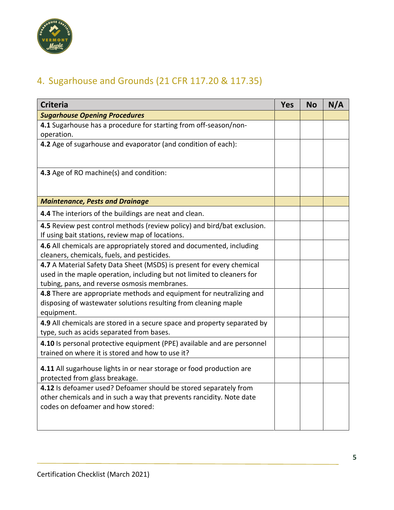

## 4. Sugarhouse and Grounds (21 CFR 117.20 & 117.35)

| <b>Criteria</b>                                                          | <b>Yes</b> | <b>No</b> | N/A |
|--------------------------------------------------------------------------|------------|-----------|-----|
| <b>Sugarhouse Opening Procedures</b>                                     |            |           |     |
| 4.1 Sugarhouse has a procedure for starting from off-season/non-         |            |           |     |
| operation.                                                               |            |           |     |
| 4.2 Age of sugarhouse and evaporator (and condition of each):            |            |           |     |
|                                                                          |            |           |     |
| 4.3 Age of RO machine(s) and condition:                                  |            |           |     |
|                                                                          |            |           |     |
| <b>Maintenance, Pests and Drainage</b>                                   |            |           |     |
| 4.4 The interiors of the buildings are neat and clean.                   |            |           |     |
| 4.5 Review pest control methods (review policy) and bird/bat exclusion.  |            |           |     |
| If using bait stations, review map of locations.                         |            |           |     |
| 4.6 All chemicals are appropriately stored and documented, including     |            |           |     |
| cleaners, chemicals, fuels, and pesticides.                              |            |           |     |
| 4.7 A Material Safety Data Sheet (MSDS) is present for every chemical    |            |           |     |
| used in the maple operation, including but not limited to cleaners for   |            |           |     |
| tubing, pans, and reverse osmosis membranes.                             |            |           |     |
| 4.8 There are appropriate methods and equipment for neutralizing and     |            |           |     |
| disposing of wastewater solutions resulting from cleaning maple          |            |           |     |
| equipment.                                                               |            |           |     |
| 4.9 All chemicals are stored in a secure space and property separated by |            |           |     |
| type, such as acids separated from bases.                                |            |           |     |
| 4.10 Is personal protective equipment (PPE) available and are personnel  |            |           |     |
| trained on where it is stored and how to use it?                         |            |           |     |
| 4.11 All sugarhouse lights in or near storage or food production are     |            |           |     |
| protected from glass breakage.                                           |            |           |     |
| 4.12 Is defoamer used? Defoamer should be stored separately from         |            |           |     |
| other chemicals and in such a way that prevents rancidity. Note date     |            |           |     |
| codes on defoamer and how stored:                                        |            |           |     |
|                                                                          |            |           |     |
|                                                                          |            |           |     |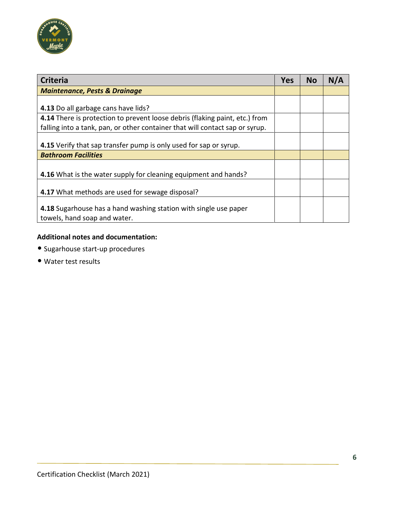

| <b>Criteria</b>                                                              | <b>Yes</b> | <b>No</b> | N/A |
|------------------------------------------------------------------------------|------------|-----------|-----|
| <b>Maintenance, Pests &amp; Drainage</b>                                     |            |           |     |
|                                                                              |            |           |     |
| 4.13 Do all garbage cans have lids?                                          |            |           |     |
| 4.14 There is protection to prevent loose debris (flaking paint, etc.) from  |            |           |     |
| falling into a tank, pan, or other container that will contact sap or syrup. |            |           |     |
|                                                                              |            |           |     |
| 4.15 Verify that sap transfer pump is only used for sap or syrup.            |            |           |     |
| <b>Bathroom Facilities</b>                                                   |            |           |     |
|                                                                              |            |           |     |
| 4.16 What is the water supply for cleaning equipment and hands?              |            |           |     |
|                                                                              |            |           |     |
| 4.17 What methods are used for sewage disposal?                              |            |           |     |
|                                                                              |            |           |     |
| 4.18 Sugarhouse has a hand washing station with single use paper             |            |           |     |
| towels, hand soap and water.                                                 |            |           |     |

- Sugarhouse start-up procedures
- Water test results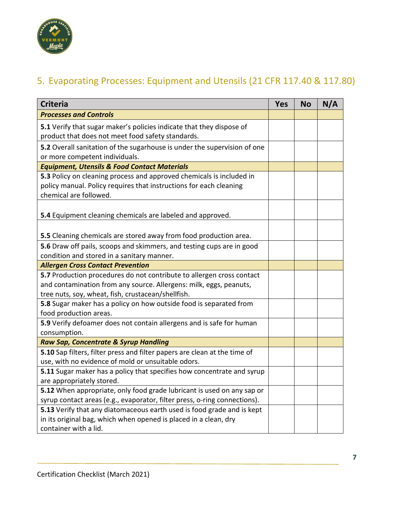

## 5. Evaporating Processes: Equipment and Utensils (21 CFR 117.40 & 117.80)

| <b>Criteria</b>                                                                                                                                                                                   | <b>Yes</b> | <b>No</b> | N/A |
|---------------------------------------------------------------------------------------------------------------------------------------------------------------------------------------------------|------------|-----------|-----|
| <b>Processes and Controls</b>                                                                                                                                                                     |            |           |     |
| 5.1 Verify that sugar maker's policies indicate that they dispose of<br>product that does not meet food safety standards.                                                                         |            |           |     |
| 5.2 Overall sanitation of the sugarhouse is under the supervision of one<br>or more competent individuals.                                                                                        |            |           |     |
| <b>Equipment, Utensils &amp; Food Contact Materials</b>                                                                                                                                           |            |           |     |
| 5.3 Policy on cleaning process and approved chemicals is included in<br>policy manual. Policy requires that instructions for each cleaning<br>chemical are followed.                              |            |           |     |
| 5.4 Equipment cleaning chemicals are labeled and approved.                                                                                                                                        |            |           |     |
| 5.5 Cleaning chemicals are stored away from food production area.                                                                                                                                 |            |           |     |
| 5.6 Draw off pails, scoops and skimmers, and testing cups are in good<br>condition and stored in a sanitary manner.                                                                               |            |           |     |
| <b>Allergen Cross Contact Prevention</b>                                                                                                                                                          |            |           |     |
| 5.7 Production procedures do not contribute to allergen cross contact<br>and contamination from any source. Allergens: milk, eggs, peanuts,<br>tree nuts, soy, wheat, fish, crustacean/shellfish. |            |           |     |
| 5.8 Sugar maker has a policy on how outside food is separated from<br>food production areas.                                                                                                      |            |           |     |
| 5.9 Verify defoamer does not contain allergens and is safe for human<br>consumption.                                                                                                              |            |           |     |
| Raw Sap, Concentrate & Syrup Handling                                                                                                                                                             |            |           |     |
| 5.10 Sap filters, filter press and filter papers are clean at the time of<br>use, with no evidence of mold or unsuitable odors.                                                                   |            |           |     |
| 5.11 Sugar maker has a policy that specifies how concentrate and syrup<br>are appropriately stored.                                                                                               |            |           |     |
| 5.12 When appropriate, only food grade lubricant is used on any sap or<br>syrup contact areas (e.g., evaporator, filter press, o-ring connections).                                               |            |           |     |
| 5.13 Verify that any diatomaceous earth used is food grade and is kept<br>in its original bag, which when opened is placed in a clean, dry<br>container with a lid.                               |            |           |     |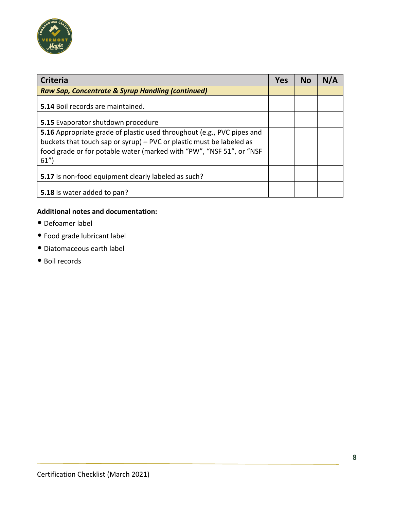

| <b>Criteria</b>                                                                                                                              | <b>Yes</b> | <b>No</b> | N/A |
|----------------------------------------------------------------------------------------------------------------------------------------------|------------|-----------|-----|
| Raw Sap, Concentrate & Syrup Handling (continued)                                                                                            |            |           |     |
| 5.14 Boil records are maintained.                                                                                                            |            |           |     |
| 5.15 Evaporator shutdown procedure                                                                                                           |            |           |     |
| 5.16 Appropriate grade of plastic used throughout (e.g., PVC pipes and                                                                       |            |           |     |
| buckets that touch sap or syrup) - PVC or plastic must be labeled as<br>food grade or for potable water (marked with "PW", "NSF 51", or "NSF |            |           |     |
| 61'                                                                                                                                          |            |           |     |
| 5.17 Is non-food equipment clearly labeled as such?                                                                                          |            |           |     |
| 5.18 Is water added to pan?                                                                                                                  |            |           |     |

- Defoamer label
- Food grade lubricant label
- Diatomaceous earth label
- Boil records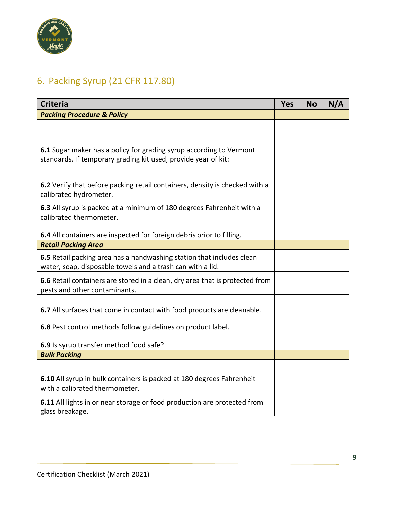

# 6. Packing Syrup (21 CFR 117.80)

| <b>Criteria</b>                                                                                                                     | <b>Yes</b> | <b>No</b> | N/A |
|-------------------------------------------------------------------------------------------------------------------------------------|------------|-----------|-----|
| <b>Packing Procedure &amp; Policy</b>                                                                                               |            |           |     |
|                                                                                                                                     |            |           |     |
|                                                                                                                                     |            |           |     |
| 6.1 Sugar maker has a policy for grading syrup according to Vermont                                                                 |            |           |     |
| standards. If temporary grading kit used, provide year of kit:                                                                      |            |           |     |
|                                                                                                                                     |            |           |     |
|                                                                                                                                     |            |           |     |
| 6.2 Verify that before packing retail containers, density is checked with a<br>calibrated hydrometer.                               |            |           |     |
| 6.3 All syrup is packed at a minimum of 180 degrees Fahrenheit with a                                                               |            |           |     |
| calibrated thermometer.                                                                                                             |            |           |     |
|                                                                                                                                     |            |           |     |
| 6.4 All containers are inspected for foreign debris prior to filling.                                                               |            |           |     |
| <b>Retail Packing Area</b>                                                                                                          |            |           |     |
| 6.5 Retail packing area has a handwashing station that includes clean<br>water, soap, disposable towels and a trash can with a lid. |            |           |     |
| 6.6 Retail containers are stored in a clean, dry area that is protected from                                                        |            |           |     |
| pests and other contaminants.                                                                                                       |            |           |     |
|                                                                                                                                     |            |           |     |
| 6.7 All surfaces that come in contact with food products are cleanable.                                                             |            |           |     |
|                                                                                                                                     |            |           |     |
| 6.8 Pest control methods follow guidelines on product label.                                                                        |            |           |     |
| 6.9 Is syrup transfer method food safe?                                                                                             |            |           |     |
| <b>Bulk Packing</b>                                                                                                                 |            |           |     |
|                                                                                                                                     |            |           |     |
| 6.10 All syrup in bulk containers is packed at 180 degrees Fahrenheit                                                               |            |           |     |
| with a calibrated thermometer.                                                                                                      |            |           |     |
| 6.11 All lights in or near storage or food production are protected from                                                            |            |           |     |
| glass breakage.                                                                                                                     |            |           |     |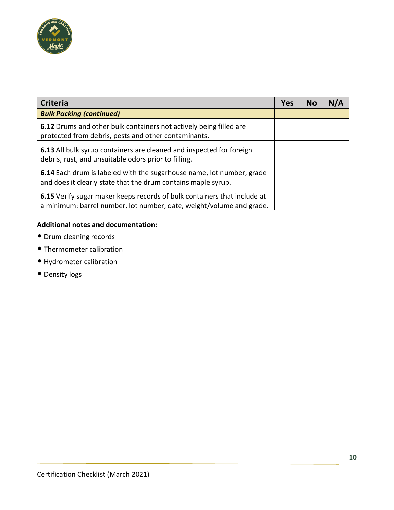

| <b>Criteria</b>                                                                                                                                  | <b>Yes</b> | <b>No</b> | N/A |
|--------------------------------------------------------------------------------------------------------------------------------------------------|------------|-----------|-----|
| <b>Bulk Packing (continued)</b>                                                                                                                  |            |           |     |
| 6.12 Drums and other bulk containers not actively being filled are<br>protected from debris, pests and other contaminants.                       |            |           |     |
| 6.13 All bulk syrup containers are cleaned and inspected for foreign<br>debris, rust, and unsuitable odors prior to filling.                     |            |           |     |
| 6.14 Each drum is labeled with the sugarhouse name, lot number, grade<br>and does it clearly state that the drum contains maple syrup.           |            |           |     |
| 6.15 Verify sugar maker keeps records of bulk containers that include at<br>a minimum: barrel number, lot number, date, weight/volume and grade. |            |           |     |

- Drum cleaning records
- Thermometer calibration
- Hydrometer calibration
- Density logs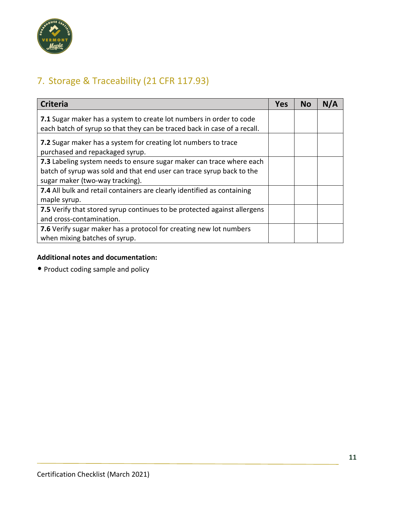

## 7. Storage & Traceability (21 CFR 117.93)

| <b>Criteria</b>                                                                                                                                                                  | <b>Yes</b> | <b>No</b> | N/A |
|----------------------------------------------------------------------------------------------------------------------------------------------------------------------------------|------------|-----------|-----|
| 7.1 Sugar maker has a system to create lot numbers in order to code<br>each batch of syrup so that they can be traced back in case of a recall.                                  |            |           |     |
| 7.2 Sugar maker has a system for creating lot numbers to trace<br>purchased and repackaged syrup.                                                                                |            |           |     |
| 7.3 Labeling system needs to ensure sugar maker can trace where each<br>batch of syrup was sold and that end user can trace syrup back to the<br>sugar maker (two-way tracking). |            |           |     |
| 7.4 All bulk and retail containers are clearly identified as containing<br>maple syrup.                                                                                          |            |           |     |
| 7.5 Verify that stored syrup continues to be protected against allergens<br>and cross-contamination.                                                                             |            |           |     |
| 7.6 Verify sugar maker has a protocol for creating new lot numbers<br>when mixing batches of syrup.                                                                              |            |           |     |

#### **Additional notes and documentation:**

• Product coding sample and policy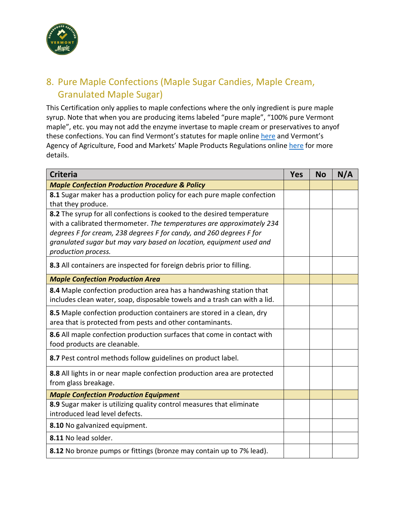

## 8. Pure Maple Confections (Maple Sugar Candies, Maple Cream, Granulated Maple Sugar)

This Certification only applies to maple confections where the only ingredient is pure maple syrup. Note that when you are producing items labeled "pure maple", "100% pure Vermont maple", etc. you may not add the enzyme invertase to maple cream or preservatives to anyof these confections. You can find Vermont's statutes for maple online [here](https://legislature.vermont.gov/statutes/chapter/06/032) and Vermont's Agency of Agriculture, Food and Markets' Maple Products Regulations online [here](https://agriculture.vermont.gov/sites/agriculture/files/documents/Maple_Products/CVR%2020%20011%20002%20MAPLE%20PRODUCTS%20REGULATIONS%20%287-19%29.pdf) for more details.

| <b>Criteria</b>                                                           | <b>Yes</b> | <b>No</b> | N/A |
|---------------------------------------------------------------------------|------------|-----------|-----|
| <b>Maple Confection Production Procedure &amp; Policy</b>                 |            |           |     |
| 8.1 Sugar maker has a production policy for each pure maple confection    |            |           |     |
| that they produce.                                                        |            |           |     |
| 8.2 The syrup for all confections is cooked to the desired temperature    |            |           |     |
| with a calibrated thermometer. The temperatures are approximately 234     |            |           |     |
| degrees F for cream, 238 degrees F for candy, and 260 degrees F for       |            |           |     |
| granulated sugar but may vary based on location, equipment used and       |            |           |     |
| production process.                                                       |            |           |     |
| 8.3 All containers are inspected for foreign debris prior to filling.     |            |           |     |
| <b>Maple Confection Production Area</b>                                   |            |           |     |
| 8.4 Maple confection production area has a handwashing station that       |            |           |     |
| includes clean water, soap, disposable towels and a trash can with a lid. |            |           |     |
| 8.5 Maple confection production containers are stored in a clean, dry     |            |           |     |
| area that is protected from pests and other contaminants.                 |            |           |     |
| 8.6 All maple confection production surfaces that come in contact with    |            |           |     |
| food products are cleanable.                                              |            |           |     |
| 8.7 Pest control methods follow guidelines on product label.              |            |           |     |
| 8.8 All lights in or near maple confection production area are protected  |            |           |     |
| from glass breakage.                                                      |            |           |     |
| <b>Maple Confection Production Equipment</b>                              |            |           |     |
| 8.9 Sugar maker is utilizing quality control measures that eliminate      |            |           |     |
| introduced lead level defects.                                            |            |           |     |
| 8.10 No galvanized equipment.                                             |            |           |     |
| 8.11 No lead solder.                                                      |            |           |     |
| 8.12 No bronze pumps or fittings (bronze may contain up to 7% lead).      |            |           |     |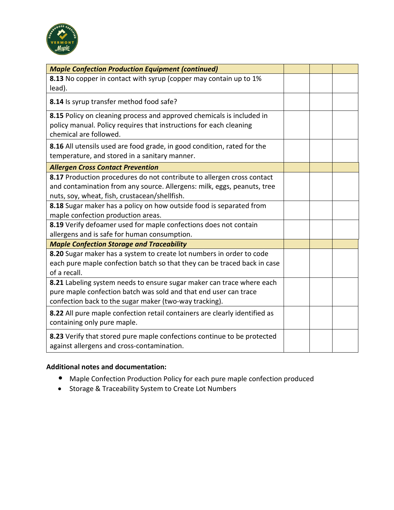

| <b>Maple Confection Production Equipment (continued)</b>                                                                                                                                            |  |  |
|-----------------------------------------------------------------------------------------------------------------------------------------------------------------------------------------------------|--|--|
| 8.13 No copper in contact with syrup (copper may contain up to 1%<br>lead).                                                                                                                         |  |  |
| 8.14 Is syrup transfer method food safe?                                                                                                                                                            |  |  |
| 8.15 Policy on cleaning process and approved chemicals is included in<br>policy manual. Policy requires that instructions for each cleaning<br>chemical are followed.                               |  |  |
| 8.16 All utensils used are food grade, in good condition, rated for the<br>temperature, and stored in a sanitary manner.                                                                            |  |  |
| <b>Allergen Cross Contact Prevention</b>                                                                                                                                                            |  |  |
| 8.17 Production procedures do not contribute to allergen cross contact<br>and contamination from any source. Allergens: milk, eggs, peanuts, tree<br>nuts, soy, wheat, fish, crustacean/shellfish.  |  |  |
| 8.18 Sugar maker has a policy on how outside food is separated from<br>maple confection production areas.                                                                                           |  |  |
| 8.19 Verify defoamer used for maple confections does not contain<br>allergens and is safe for human consumption.                                                                                    |  |  |
| <b>Maple Confection Storage and Traceability</b>                                                                                                                                                    |  |  |
| 8.20 Sugar maker has a system to create lot numbers in order to code<br>each pure maple confection batch so that they can be traced back in case<br>of a recall.                                    |  |  |
| 8.21 Labeling system needs to ensure sugar maker can trace where each<br>pure maple confection batch was sold and that end user can trace<br>confection back to the sugar maker (two-way tracking). |  |  |
| 8.22 All pure maple confection retail containers are clearly identified as<br>containing only pure maple.                                                                                           |  |  |
| 8.23 Verify that stored pure maple confections continue to be protected<br>against allergens and cross-contamination.                                                                               |  |  |

- Maple Confection Production Policy for each pure maple confection produced
- Storage & Traceability System to Create Lot Numbers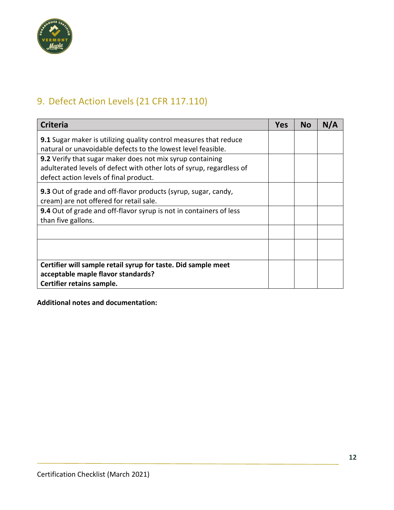

## 9. Defect Action Levels (21 CFR 117.110)

| <b>Criteria</b>                                                                                                                                                             | <b>Yes</b> | <b>No</b> | N/A |
|-----------------------------------------------------------------------------------------------------------------------------------------------------------------------------|------------|-----------|-----|
| 9.1 Sugar maker is utilizing quality control measures that reduce<br>natural or unavoidable defects to the lowest level feasible.                                           |            |           |     |
| 9.2 Verify that sugar maker does not mix syrup containing<br>adulterated levels of defect with other lots of syrup, regardless of<br>defect action levels of final product. |            |           |     |
| 9.3 Out of grade and off-flavor products (syrup, sugar, candy,<br>cream) are not offered for retail sale.                                                                   |            |           |     |
| 9.4 Out of grade and off-flavor syrup is not in containers of less<br>than five gallons.                                                                                    |            |           |     |
|                                                                                                                                                                             |            |           |     |
|                                                                                                                                                                             |            |           |     |
| Certifier will sample retail syrup for taste. Did sample meet                                                                                                               |            |           |     |
| acceptable maple flavor standards?                                                                                                                                          |            |           |     |
| Certifier retains sample.                                                                                                                                                   |            |           |     |